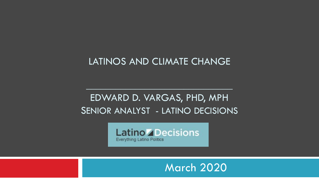### LATINOS AND CLIMATE CHANGE

### EDWARD D. VARGAS, PHD, MPH SENIOR ANALYST - LATINO DECISIONS

 $\mathcal{L}=\mathcal{L}=\mathcal{L}=\mathcal{L}=\mathcal{L}=\mathcal{L}=\mathcal{L}=\mathcal{L}=\mathcal{L}=\mathcal{L}=\mathcal{L}=\mathcal{L}=\mathcal{L}=\mathcal{L}=\mathcal{L}=\mathcal{L}=\mathcal{L}=\mathcal{L}=\mathcal{L}=\mathcal{L}=\mathcal{L}=\mathcal{L}=\mathcal{L}=\mathcal{L}=\mathcal{L}=\mathcal{L}=\mathcal{L}=\mathcal{L}=\mathcal{L}=\mathcal{L}=\mathcal{L}=\mathcal{L}=\mathcal{L}=\mathcal{L}=\mathcal{L}=\mathcal{L}=\mathcal{$ 



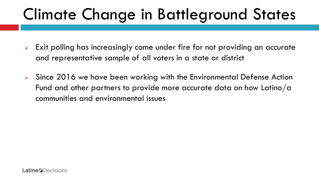# Climate Change in Battleground States

- **Exit polling has increasingly come under fire for not providing an accurate** and representative sample of all voters in a state or district
- > Since 2016 we have been working with the Environmental Defense Action Fund and other partners to provide more accurate data on how Latino/a communities and environmental issues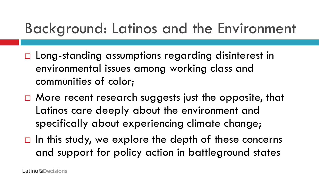## Background: Latinos and the Environment

- □ Long-standing assumptions regarding disinterest in environmental issues among working class and communities of color;
- $\Box$  More recent research suggests just the opposite, that Latinos care deeply about the environment and specifically about experiencing climate change;
- $\Box$  In this study, we explore the depth of these concerns and support for policy action in battleground states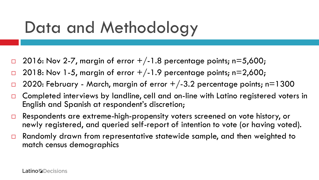# Data and Methodology

- 2016: Nov 2-7, margin of error  $+/-1.8$  percentage points; n=5,600;
- 2018: Nov 1-5, margin of error  $+/-1.9$  percentage points; n=2,600;
- 2020: February March, margin of error  $+/-3.2$  percentage points; n=1300
- □ Completed interviews by landline, cell and on-line with Latino registered voters in English and Spanish at respondent's discretion;
- □ Respondents are extreme-high-propensity voters screened on vote history, or newly registered, and queried self-report of intention to vote (or having voted).
- $\Box$  Randomly drawn from representative statewide sample, and then weighted to match census demographics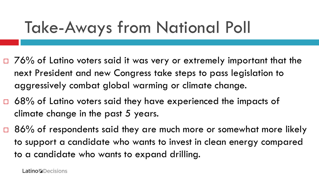# Take-Aways from National Poll

- $\Box$  76% of Latino voters said it was very or extremely important that the next President and new Congress take steps to pass legislation to aggressively combat global warming or climate change.
- $\Box$  68% of Latino voters said they have experienced the impacts of climate change in the past 5 years.
- □ 86% of respondents said they are much more or somewhat more likely to support a candidate who wants to invest in clean energy compared to a candidate who wants to expand drilling.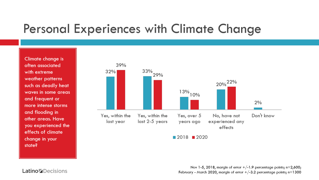### **Personal Experiences with Climate Change**

Climate change is often associated with extreme weather patterns such as deadly heat waves in some areas and frequent or more intense storms and flooding in other areas. Have you experienced the effects of climate change in your state?



 $2018$  2020

Nov 1-5, 2018, margin of error  $+/-1.9$  percentage points; n=2,600; February - March 2020, margin of error  $+/-3.2$  percentage points; n=1300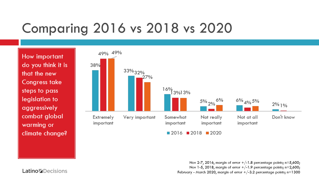## **Comparing 2016 vs 2018 vs 2020**

How important do you think it is that the new **Congress take** steps to pass legislation to aggressively combat global warming or climate change?



Nov 2-7, 2016, margin of error  $+/-1.8$  percentage points; n=5,600; Nov 1-5, 2018, margin of error  $+/-1.9$  percentage points; n=2,600; February - March 2020, margin of error  $+/-3.2$  percentage points; n=1300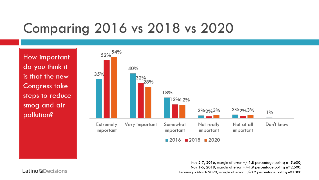### **Comparing 2016 vs 2018 vs 2020**

How important do you think it is that the new **Congress take** steps to reduce smog and air pollution?



Nov 2-7, 2016, margin of error  $+/-1.8$  percentage points; n=5,600; Nov 1-5, 2018, margin of error  $+/-1.9$  percentage points; n=2,600; February - March 2020, margin of error  $+/-3.2$  percentage points; n=1300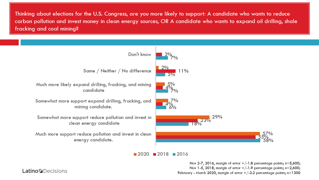Thinking about elections for the U.S. Congress, are you more likely to support: A candidate who wants to reduce carbon pollution and invest money in clean energy sources, OR A candidate who wants to expand oil drilling, shale fracking and coal mining?



 $2020$  2018 2016

Nov 2-7, 2016, margin of error  $+/-1.8$  percentage points;  $n=5,600$ ; Nov 1-5, 2018, margin of error  $+/-1.9$  percentage points; n=2,600; February - March 2020, margin of error  $+/-3.2$  percentage points; n=1300